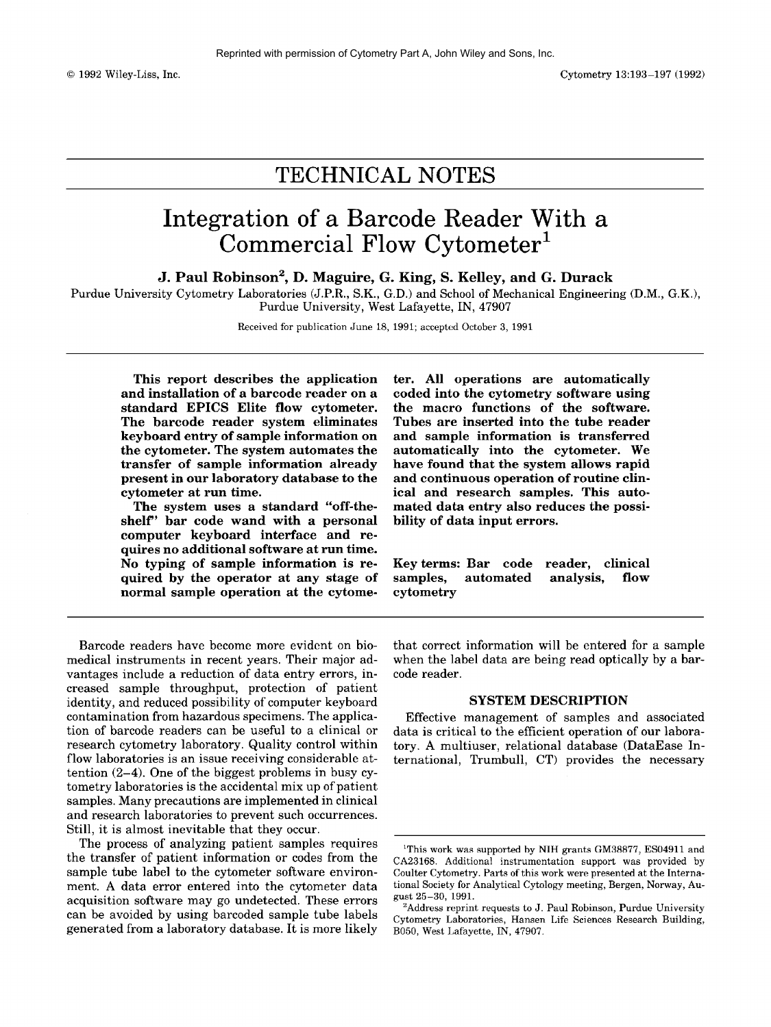# TECHNICAL NOTES

# Integration of a Barcode Reader With a Commercial Flow Cytometer'

**J. Paul Robinson2, D. Maguire, G. King, S. Kelley, and G. Durack** 

Purdue University Cytometry Laboratories (J.P.R., S.K., G.D.) and School of Mechanical Engineering (D.M., G.K.), Purdue University, West Lafayette, IN, 47907

Received for publication June 18, 1991; accepted October **3,** 1991

This report describes the application and installation of a barcode reader on a standard EPICS Elite flow cytometer. The barcode reader system eliminates keyboard entry of sample information on the cytometer. The system automates the transfer of sample information already present in our laboratory database to the cytometer at run time.

**The** system uses a standard "off-theshelf' bar code wand with a personal computer keyboard interface and requires no additional software at run time. No typing of sample information is required by the operator at any stage of normal sample operation at the cytome-

ter. All operations are automatically coded into the cytometry software using the macro functions of the software. Tubes are inserted into the tube reader and sample information is transferred automatically into the cytometer. We have found that the system allows rapid and continuous operation of routine clinical and research samples. This automated data entry also reduces the possibility of data input errors.

Key terms: Bar code reader, clinical samples, automated analysis, flow cytometry

Barcode readers have become more evident on biomedical instruments in recent years. Their major advantages include a reduction of data entry errors, increased sample throughput, protection of patient identity, and reduced possibility of computer keyboard contamination from hazardous specimens. The application of barcode readers can be useful to a clinical or research cytometry laboratory. Quality control within flow laboratories is an issue receiving considerable attention **(2-4).** One of the biggest problems in busy cytometry laboratories is the accidental mix up of patient samples. Many precautions are implemented in clinical and research laboratories to prevent such occurrences. Still, it is almost inevitable that they occur.

The process of analyzing patient samples requires the transfer of patient information or codes from the sample tube label to the cytometer software environment. **A** data error entered into the cytometer data acquisition software may go undetected. These errors can be avoided by using barcoded sample tube labels generated from a laboratory database. It is more likely that correct information will be entered for a sample when the label data are being read optically by a barcode reader.

# SYSTEM DESCRIPTION

Effective management of samples and associated data is critical to the efficient operation of our laboratory. **A** multiuser, relational database (DataEase International, Trumbull, CT) provides the necessary

<sup>&#</sup>x27;This work was supported by **NIH** grants GM38877, ES04911 and **CA23168.** Additional instrumentation support was provided by Coulter Cytometry. Parts of this work were presented at the International Society for Analytical Cytology meeting, Bergen, Norway, August 25-30, **1991.** 

<sup>&#</sup>x27;Address reprint requests to J. Paul Robinson, Purdue University Cytometry Laboratories, Hansen Life Sciences Research Building, B050, West Lafayette, IN, 47907.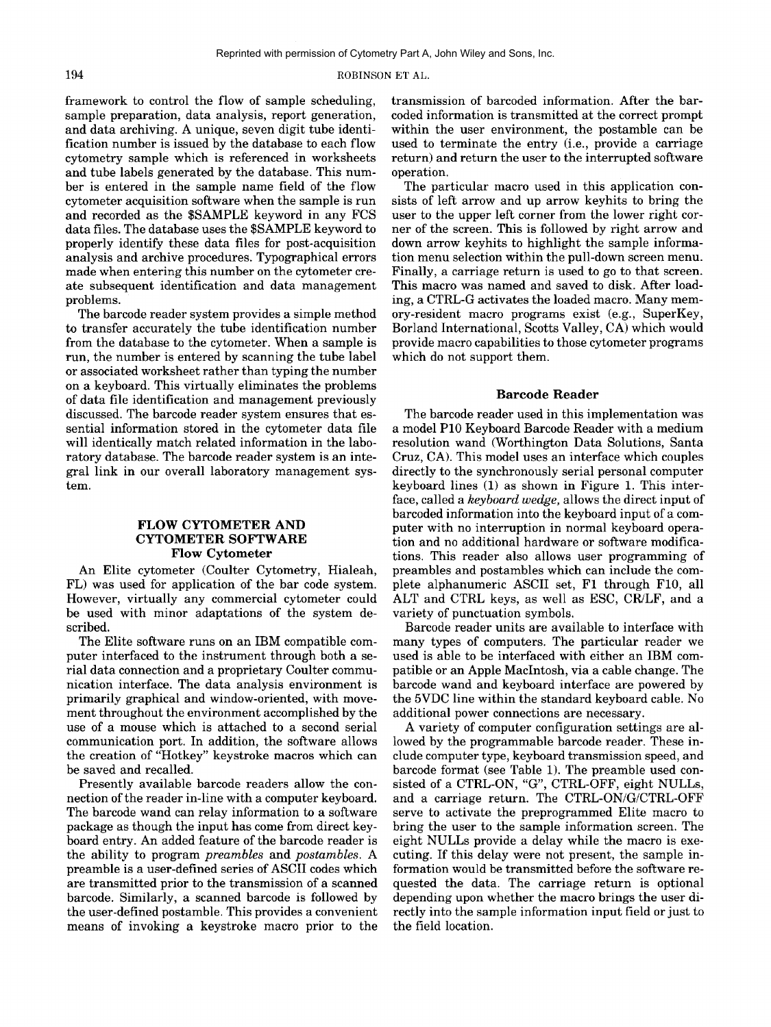## **194** ROBINSON ET **AL.**

framework to control the flow of sample scheduling, sample preparation, data analysis, report generation, and data archiving. A unique, seven digit tube identification number is issued by the database to each flow cytometry sample which is referenced in worksheets and tube labels generated by the database. This number is entered in the sample name field of the flow cytometer acquisition software when the sample is run and recorded as the \$SAMPLE keyword in any FCS data files. The database uses the \$SAMPLE keyword to properly identify these data files for post-acquisition analysis and archive procedures. Typographical errors made when entering this number on the cytometer create subsequent identification and data management problems.

The barcode reader system provides a simple method to transfer accurately the tube identification number from the database to the cytometer. When a sample is run, the number is entered by scanning the tube label or associated worksheet rather than typing the number on a keyboard. This virtually eliminates the problems of data file identification and management previously discussed. The barcode reader system ensures that essential information stored in the cytometer data file will identically match related information in the laboratory database. The barcode reader system is an integral link in our overall laboratory management system.

# **FLOW CYTOMETER AND CYTOMETER SOFTWARE Flow Cytometer**

An Elite cytometer (Coulter Cytometry, Hialeah, FL) was used for application of the bar code system. However, virtually any commercial cytometer could be used with minor adaptations of the system described.

The Elite software runs on an IBM compatible computer interfaced to the instrument through both a serial data connection and a proprietary Coulter communication interface. The data analysis environment is primarily graphical and window-oriented, with movement throughout the environment accomplished by the use of a mouse which is attached to a second serial communication port. In addition, the software allows the creation of "Hotkey" keystroke macros which can be saved and recalled.

Presently available barcode readers allow the connection of the reader in-line with a computer keyboard. The barcode wand can relay information to a software package as though the input has come from direct keyboard entry. An added feature of the barcode reader is the ability to program *preambles* and *postambles*. A preamble is a user-defined series of ASCII codes which are transmitted prior to the transmission of a scanned barcode. Similarly, a scanned barcode is followed by the user-defined postamble. This provides a convenient means of invoking a keystroke macro prior to the transmission of barcoded information. After the barcoded information is transmitted at the correct prompt within the user environment, the postamble can be used to terminate the entry (i.e., provide a carriage return) and return the user to the interrupted software operation.

The particular macro used in this application consists of left arrow and up arrow keyhits to bring the user to the upper left corner from the lower right corner of the screen. This is followed by right arrow and down arrow keyhits to highlight the sample information menu selection within the pull-down screen menu. Finally, a carriage return is used to go to that screen. This macro was named and saved to disk. After loading, a CTRL-G activates the loaded macro. Many memory-resident macro programs exist (e.g., SuperKey, Borland International, Scotts Valley, CA) which would provide macro capabilities to those cytometer programs which do not support them.

# **Barcode Reader**

The barcode reader used in this implementation was a model **P10** Keyboard Barcode Reader with a medium resolution wand (Worthington Data Solutions, Santa Cruz, CA). This model uses an interface which couples directly to the synchronously serial personal computer keyboard lines **(1)** as shown in Figure 1. This interface, called a *keyboard wedge,* allows the direct input of barcoded information into the keyboard input of a computer with no interruption in normal keyboard operation and no additional hardware or software modifications. This reader also allows user programming of preambles and postambles which can include the complete alphanumeric ASCII set, **F1** through F10, all ALT and CTRL keys, as well as ESC, CWLF, and a variety of punctuation symbols.

Barcode reader units are available to interface with many types of computers. The particular reader we used is able to be interfaced with either an IBM compatible or an Apple MacIntosh, via a cable change. The barcode wand and keyboard interface are powered by the 5VDC line within the standard keyboard cable. No additional power connections are necessary.

A variety of computer configuration settings are allowed by the programmable barcode reader. These include computer type, keyboard transmission speed, and barcode format (see Table 1). The preamble used consisted of a CTRL-ON, *"G',* CTRL-OFF, eight NULLs, and a carriage return. The CTRL-ON/G/CTRL-OFF serve to activate the preprogrammed Elite macro to bring the user to the sample information screen. The eight NULLs provide a delay while the macro is executing. If this delay were not present, the sample information would be transmitted before the software requested the data. The carriage return is optional depending upon whether the macro brings the user directly into the sample information input field or just to the field location.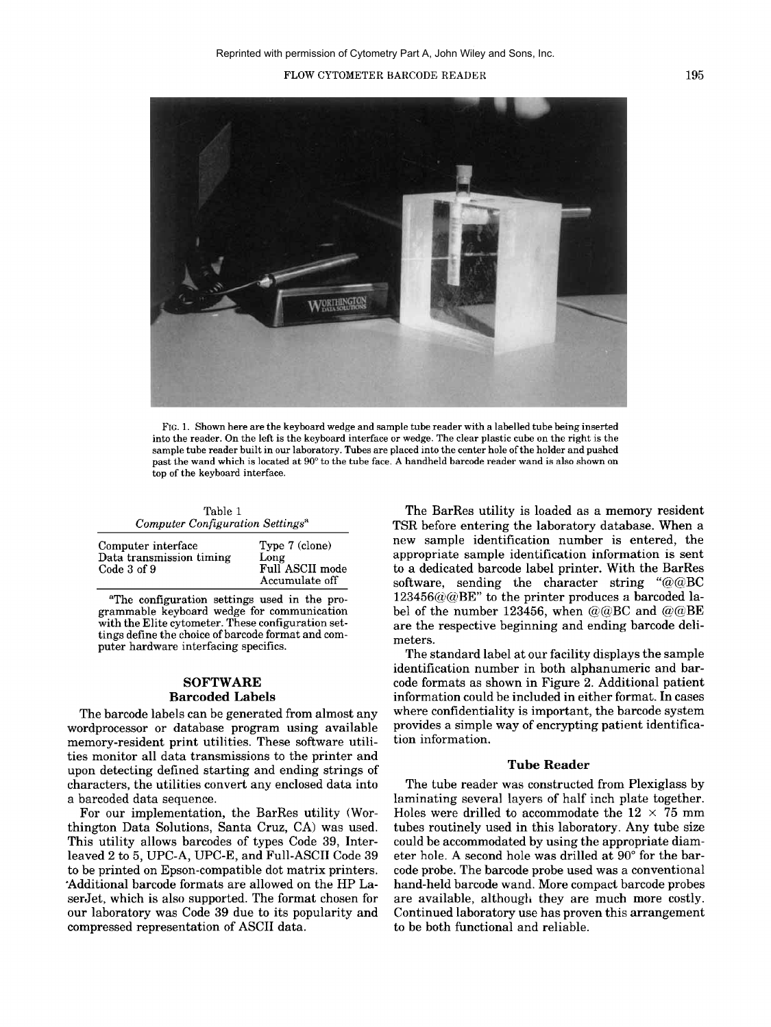

FIG. 1. Shown here are the keyboard wedge and sample tube reader with a labelled tube being inserted into the reader. On the left is the keyboard interface or wedge. The clear plastic cube on the right is the sample tube reader built in our laboratory. Tubes are placed into the center hole of the holder and pushed past the wand which is located at 90" to the tube face. A handheld barcode reader wand is also shown on top of the keyboard interface.

Table 1 *Cornuuter Configuration Settingsa* 

| Computer interface       | Type 7 (clone)                    |
|--------------------------|-----------------------------------|
| Data transmission timing | Long                              |
| Code 3 of 9              | Full ASCII mode<br>Accumulate off |
|                          |                                   |

"The configuration settings used in the programmable keyboard wedge for communication with the Elite cytometer. These configuration settings define the choice of barcode format and computer hardware interfacing specifics.

# **SOFTWARE Barcoded Labels**

The barcode labels can be generated from almost any wordprocessor or database program using available memory-resident print utilities. These software utilities monitor all data transmissions to the printer and upon detecting defined starting and ending strings of characters, the utilities convert any enclosed data into a barcoded data sequence.

For our implementation, the BarRes utility (Worthington Data Solutions, Santa Cruz, CA) was used. This utility allows barcodes of types Code 39, Interleaved **2** to **5,** UPC-A, UPC-E, and Full-ASCII Code 39 to be printed on Epson-compatible dot matrix printers. 'Additional barcode formats are allowed on the HP LaserJet, which is also supported. The format chosen for our laboratory was Code 39 due to its popularity and compressed representation of ASCII data.

The BarRes utility is loaded as **a** memory resident TSR before entering the laboratory database. When a new sample identification number is entered, the appropriate sample identification information is sent to a dedicated barcode label printer. With the BarRes software, sending the character string "@@BC  $123456@@BE"$  to the printer produces a barcoded label of the number **123456,** when @@BC and @@BE are the respective beginning and ending barcode delimeters.

The standard label at our facility displays the sample identification number in both alphanumeric and barcode formats as shown in Figure **2.** Additional patient information could be included in either format. In cases where confidentiality is important, the barcode system provides a simple way of encrypting patient identification information.

# **Tube Reader**

The tube reader was constructed from Plexiglass by laminating several layers of half inch **plate** together. Holes were drilled to accommodate the  $12 \times 75$  mm tubes routinely used in this laboratory. Any tube size could be accommodated by using the appropriate diameter hole. A second hole was drilled at 90" for the barcode probe. The barcode probe used was a conventional hand-held barcode wand. More compact barcode probes are available, although they are much more costly. Continued laboratory use has proven this arrangement to be both functional and reliable.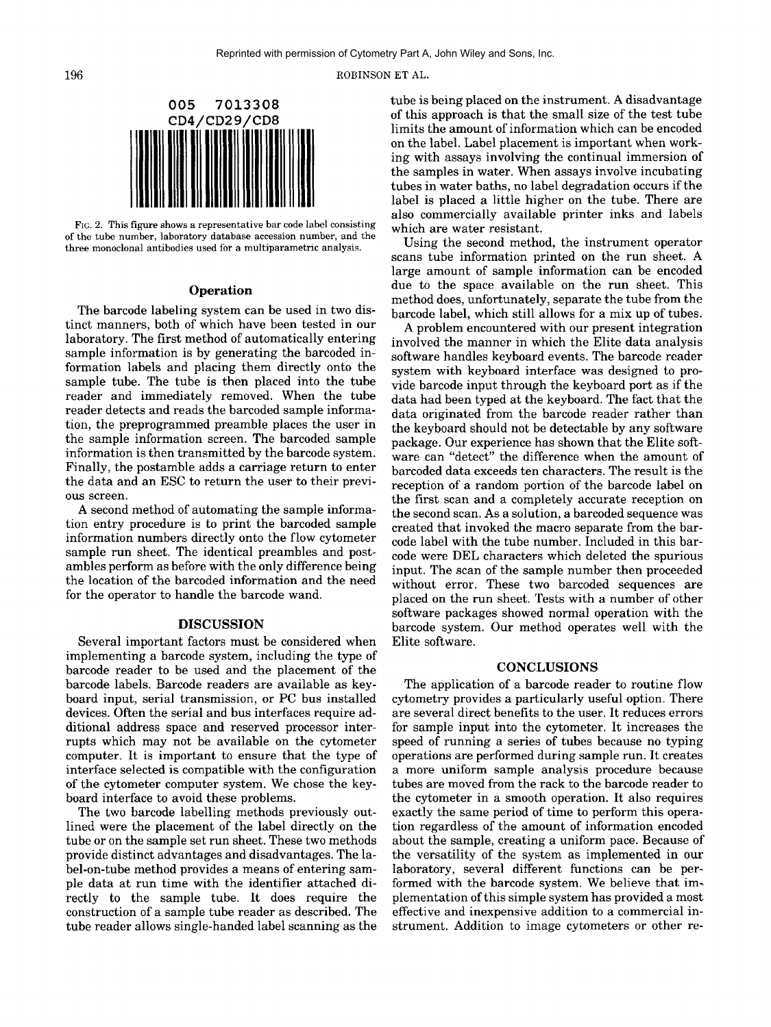196 ROBINSON ET AL.





## **Operation**

The barcode labeling system can be used in two distinct manners, both of which have been tested in our laboratory. The first method of automatically entering sample information is by generating the barcoded information labels and placing them directly onto the sample tube. The tube is then placed into the tube reader and immediately removed. When the tube reader detects and reads the barcoded sample information, the preprogrammed preamble places the user in the sample information screen. The barcoded sample information is then transmitted by the barcode system. Finally, the postamble adds a carriage return to enter the data and an ESC to return the user to their previous screen.

**A** second method of automating the sample information entry procedure is to print the barcoded sample information numbers directly onto the flow cytometer sample run sheet. The identical preambles and postambles perform as before with the only difference being the location of the barcoded information and the need for the operator to handle the barcode wand.

# **DISCUSSION**

Several important factors must be considered when implementing a barcode system, including the type of barcode reader to be used and the placement of the barcode labels. Barcode readers are available as keyboard input, serial transmission, or PC bus installed devices. Often the serial and bus interfaces require additional address space and reserved processor interrupts which may not be available on the cytometer computer. It is important to ensure that the type of interface selected is compatible with the configuration of the cytometer computer system. We chose the keyboard interface to avoid these problems.

The two barcode labelling methods previously outlined were the placement of the label directly on the tube or on the sample set run sheet. These two methods provide distinct advantages and disadvantages. The label-on-tube method provides a means of entering sample data at run time with the identifier attached directly to the sample tube. It does require the construction of a sample tube reader as described. The tube reader allows single-handed label scanning as the tube is being placed on the instrument. **A** disadvantage of this approach is that the small size of the test tube limits the amount of information which can be encoded on the label. Label placement is important when working with assays involving the continual immersion of the samples in water. When assays involve incubating tubes in water baths, no label degradation occurs if the label is placed a little higher on the tube. There are also commercially available printer inks and labels which are water resistant.

Using the second method, the instrument operator scans tube information printed on the run sheet. A large amount of sample information can be encoded due to the space available on the run sheet. This method does, unfortunately, separate the tube from the barcode label, which still allows for a mix up of tubes.

A problem encountered with our present integration involved the manner in which the Elite data analysis software handles keyboard events. The barcode reader system with keyboard interface was designed to provide barcode input through the keyboard port as if the data had been typed at the keyboard. The fact that the data originated from the barcode reader rather than the keyboard should not be detectable by any software package. Our experience has shown that the Elite software can "detect" the difference when the amount of barcoded data exceeds ten characters. The result is the reception of a random portion of the barcode label on the first scan and a completely accurate reception on the second scan. **As** a solution, a barcoded sequence was created that invoked the macro separate from the barcode label with the tube number. Included in this barcode were DEL characters which deleted the spurious input. The scan of the sample number then proceeded without error. These two barcoded sequences are placed on the run sheet. Tests with a number of other software packages showed normal operation with the barcode system. Our method operates well with the Elite software.

#### **CONCLUSIONS**

The application of a barcode reader to routine flow cytometry provides a particularly useful option. There are several direct benefits to the user. It reduces errors for sample input into the cytometer. It increases the speed of running a series of tubes because no typing operations are performed during sample run. It creates a more uniform sample analysis procedure because tubes are moved from the rack to the barcode reader to the cytometer in a smooth operation. It also requires exactly the same period of time to perform this operation regardless of the amount of information encoded about the sample, creating a uniform pace. Because of the versatility of the system as implemented in our laboratory, several different functions can be performed with the barcode system. We believe that implementation of this simple system has provided a most effective and inexpensive addition to a commercial instrument. Addition to image cytometers or other re